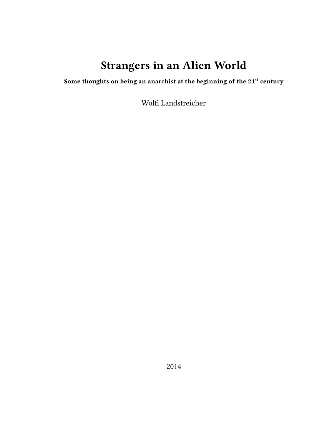# **Strangers in an Alien World**

**Some thoughts on being an anarchist at the beginning of the 21st century**

Wolfi Landstreicher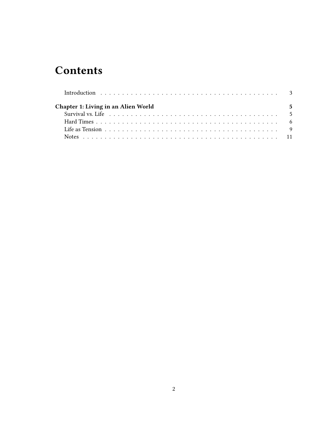# **Contents**

| <b>Chapter 1: Living in an Alien World</b> | $\overline{\phantom{0}}$ |
|--------------------------------------------|--------------------------|
|                                            |                          |
|                                            |                          |
|                                            |                          |
|                                            |                          |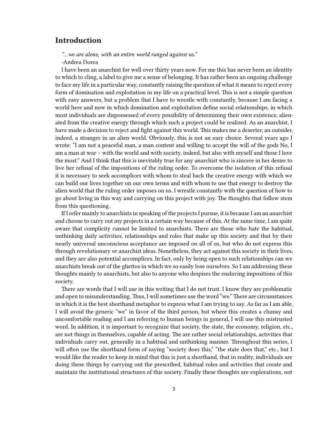## <span id="page-2-0"></span>**Introduction**

*"…we are alone, with an entire world ranged against us."* -Andrea Dorea

I have been an anarchist for well over thirty years now. For me this has never been an identity to which to cling, a label to give me a sense of belonging. It has rather been an ongoing challenge to face my life in a particular way, constantly raising the question of what it means to reject every form of domination and exploitation in my life on a practical level. This is not a simple question with easy answers, but a problem that I have to wrestle with constantly, because I am facing a world here and now in which domination and exploitation define social relationships, in which most individuals are dispossessed of every possibility of determining their own existence, alienated from the creative energy through which such a project could be realized. As an anarchist, I have made a decision to reject and fight against this world. This makes me a deserter, an outsider, indeed, a stranger in an alien world. Obviously, this is not an easy choice. Several years ago I wrote: "I am not a peaceful man, a man content and willing to accept the will of the gods No, I am a man at war – with the world and with society, indeed, but also with myself and those I love the most." And I think that this is inevitably true for any anarchist who is sincere in her desire to live her refusal of the impositions of the ruling order. To overcome the isolation of this refusal it is necessary to seek accomplices with whom to steal back the creative energy with which we can build our lives together on our own terms and with whom to use that energy to destroy the alien world that the ruling order imposes on us. I wrestle constantly with the question of how to go about living in this way and carrying on this project with joy. The thoughts that follow stem from this questioning.

If I refer mainly to anarchists in speaking of the projects I pursue, it is because I am an anarchist and choose to carry out my projects in a certain way because of this. At the same time, I am quite aware that complicity cannot be limited to anarchists. There are those who hate the habitual, unthinking daily activities, relationships and roles that make up this society and that by their nearly universal unconscious acceptance are imposed on all of us, but who do not express this through revolutionary or anarchist ideas. Nonetheless, they act against this society in their lives, and they are also potential accomplices. In fact, only by being open to such relationships can we anarchists break out of the ghettos in which we so easily lose ourselves. So I am addressing these thoughts mainly to anarchists, but also to anyone who despises the enslaving impositions of this society.

There are words that I will use in this writing that I do not trust. I know they are problematic and open to misunderstanding. Thus, I will sometimes use the word "we." There are circumstances in which it is the best shorthand metaphor to express what I am trying to say. As far as I am able, I will avoid the generic "we" in favor of the third person, but where this creates a clumsy and uncomfortable reading and I am referring to human beings in general, I will use this mistrusted word. In addition, it is important to recognize that society, the state, the economy, religion, etc., are not things in themselves, capable of acting. The are rather social relationships, activities that individuals carry out, generally in a habitual and unthinking manner. Throughout this series, I will often use the shorthand form of saying "society does this," "the state does that," etc., but I would like the reader to keep in mind that this is just a shorthand, that in reality, individuals are doing these things by carrying out the prescribed, habitual roles and activities that create and maintain the institutional structures of this society. Finally these thoughts are explorations, not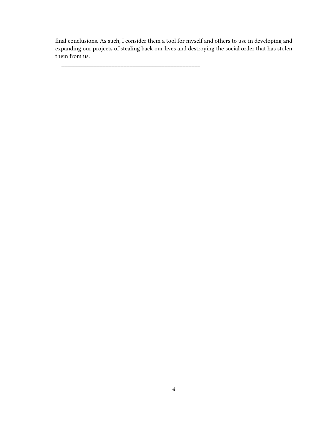final conclusions. As such, I consider them a tool for myself and others to use in developing and expanding our projects of stealing back our lives and destroying the social order that has stolen them from us.

\_\_\_\_\_\_\_\_\_\_\_\_\_\_\_\_\_\_\_\_\_\_\_\_\_\_\_\_\_\_\_\_\_\_\_\_\_\_\_\_\_\_\_\_\_\_\_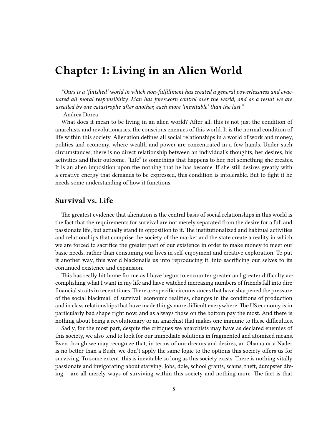# <span id="page-4-0"></span>**Chapter 1: Living in an Alien World**

*"Ours is a 'finished' world in which non-fulfillment has created a general powerlessness and evacuated all moral responsibility. Man has foresworn control over the world, and as a result we are assailed by one catastrophe after another, each more 'inevitable' than the last."*

-Andrea Dorea

What does it mean to be living in an alien world? After all, this is not just the condition of anarchists and revolutionaries, the conscious enemies of this world. It is the normal condition of life within this society. Alienation defines all social relationships in a world of work and money, politics and economy, where wealth and power are concentrated in a few hands. Under such circumstances, there is no direct relationship between an individual's thoughts, her desires, his activities and their outcome. "Life" is something that happens to her, not something she creates. It is an alien imposition upon the nothing that he has become. If she still desires greatly with a creative energy that demands to be expressed, this condition is intolerable. But to fight it he needs some understanding of how it functions.

#### <span id="page-4-1"></span>**Survival vs. Life**

The greatest evidence that alienation is the central basis of social relationships in this world is the fact that the requirements for survival are not merely separated from the desire for a full and passionate life, but actually stand in opposition to it. The institutionalized and habitual activities and relationships that comprise the society of the market and the state create a reality in which we are forced to sacrifice the greater part of our existence in order to make money to meet our basic needs, rather than consuming our lives in self-enjoyment and creative exploration. To put it another way, this world blackmails us into reproducing it, into sacrificing our selves to its continued existence and expansion.

This has really hit home for me as I have begun to encounter greater and greater difficulty accomplishing what I want in my life and have watched increasing numbers of friends fall into dire financial straits in recent times. There are specific circumstances that have sharpened the pressure of the social blackmail of survival, economic realities, changes in the conditions of production and in class relationships that have made things more difficult everywhere. The US economy is in particularly bad shape right now, and as always those on the bottom pay the most. And there is nothing about being a revolutionary or an anarchist that makes one immune to these difficulties.

Sadly, for the most part, despite the critiques we anarchists may have as declared enemies of this society, we also tend to look for our immediate solutions in fragmented and atomized means. Even though we may recognize that, in terms of our dreams and desires, an Obama or a Nader is no better than a Bush, we don't apply the same logic to the options this society offers us for surviving. To some extent, this is inevitable so long as this society exists. There is nothing vitally passionate and invigorating about starving. Jobs, dole, school grants, scams, theft, dumpster diving – are all merely ways of surviving within this society and nothing more. The fact is that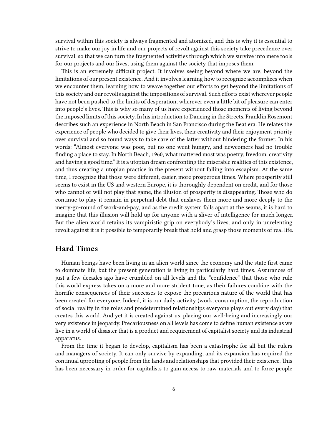survival within this society is always fragmented and atomized, and this is why it is essential to strive to make our joy in life and our projects of revolt against this society take precedence over survival, so that we can turn the fragmented activities through which we survive into mere tools for our projects and our lives, using them against the society that imposes them.

This is an extremely difficult project. It involves seeing beyond where we are, beyond the limitations of our present existence. And it involves learning how to recognize accomplices when we encounter them, learning how to weave together our efforts to get beyond the limitations of this society and our revolts against the impositions of survival. Such efforts exist wherever people have not been pushed to the limits of desperation, wherever even a little bit of pleasure can enter into people's lives. This is why so many of us have experienced those moments of living beyond the imposed limits of this society. In his introduction to Dancing in the Streets, Franklin Rosemont describes such an experience in North Beach in San Francisco during the Beat era. He relates the experience of people who decided to give their lives, their creativity and their enjoyment priority over survival and so found ways to take care of the latter without hindering the former. In his words: "Almost everyone was poor, but no one went hungry, and newcomers had no trouble finding a place to stay. In North Beach, 1960, what mattered most was poetry, freedom, creativity and having a good time." It is a utopian dream confronting the miserable realities of this existence, and thus creating a utopian practice in the present without falling into escapism. At the same time, I recognize that those were different, easier, more prosperous times. Where prosperity still seems to exist in the US and western Europe, it is thoroughly dependent on credit, and for those who cannot or will not play that game, the illusion of prosperity is disappearing. Those who do continue to play it remain in perpetual debt that enslaves them more and more deeply to the merry-go-round of work-and-pay, and as the credit system falls apart at the seams, it is hard to imagine that this illusion will hold up for anyone with a sliver of intelligence for much longer. But the alien world retains its vampiristic grip on everybody's lives, and only in unrelenting revolt against it is it possible to temporarily break that hold and grasp those moments of real life.

# <span id="page-5-0"></span>**Hard Times**

Human beings have been living in an alien world since the economy and the state first came to dominate life, but the present generation is living in particularly hard times. Assurances of just a few decades ago have crumbled on all levels and the "confidence" that those who rule this world express takes on a more and more strident tone, as their failures combine with the horrific consequences of their successes to expose the precarious nature of the world that has been created for everyone. Indeed, it is our daily activity (work, consumption, the reproduction of social reality in the roles and predetermined relationships everyone plays out every day) that creates this world. And yet it is created against us, placing our well-being and increasingly our very existence in jeopardy. Precariousness on all levels has come to define human existence as we live in a world of disaster that is a product and requirement of capitalist society and its industrial apparatus.

From the time it began to develop, capitalism has been a catastrophe for all but the rulers and managers of society. It can only survive by expanding, and its expansion has required the continual uprooting of people from the lands and relationships that provided their existence. This has been necessary in order for capitalists to gain access to raw materials and to force people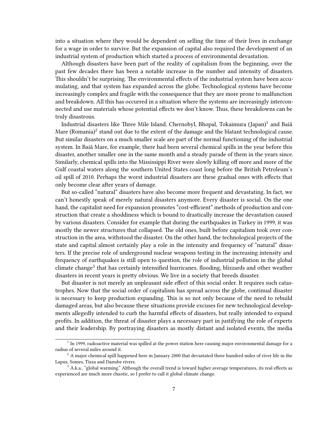into a situation where they would be dependent on selling the time of their lives in exchange for a wage in order to survive. But the expansion of capital also required the development of an industrial system of production which started a process of environmental devastation.

Although disasters have been part of the reality of capitalism from the beginning, over the past few decades there has been a notable increase in the number and intensity of disasters. This shouldn't be surprising. The environmental effects of the industrial system have been accumulating, and that system has expanded across the globe. Technological systems have become increasingly complex and fragile with the consequence that they are more prone to malfunction and breakdown. All this has occurred in a situation where the systems are increasingly interconnected and use materials whose potential effects we don't know. Thus, these breakdowns can be truly disastrous.

Industrial disasters like Three Mile Island, Chernobyl, Bhopal, Tokaimura (Japan)<sup>1</sup> and Baiă Mare (Romania) $^2$  stand out due to the extent of the damage and the blatant technological cause. But similar disasters on a much smaller scale are part of the normal functioning of the industrial system. In Baiă Mare, for example, there had been several chemical spills in the year before this disaster, another smaller one in the same month and a steady parade of them in the years since. Similarly, chemical spills into the Mississippi River were slowly killing off more and more of the Gulf coastal waters along the southern United States coast long before the British Petroleum's oil spill of 2010. Perhaps the worst industrial disasters are these gradual ones with effects that only become clear after years of damage.

But so-called "natural" disasters have also become more frequent and devastating. In fact, we can't honestly speak of merely natural disasters anymore. Every disaster is social. On the one hand, the capitalist need for expansion promotes "cost-efficient" methods of production and construction that create a shoddiness which is bound to drastically increase the devastation caused by various disasters. Consider for example that during the earthquakes in Turkey in 1999, it was mostly the newer structures that collapsed. The old ones, built before capitalism took over construction in the area, withstood the disaster. On the other hand, the technological projects of the state and capital almost certainly play a role in the intensity and frequency of "natural" disasters. If the precise role of underground nuclear weapons testing in the increasing intensity and frequency of earthquakes is still open to question, the role of industrial pollution in the global climate change<sup>3</sup> that has certainly intensified hurricanes, flooding, blizzards and other weather disasters in recent years is pretty obvious. We live in a society that breeds disaster.

But disaster is not merely an unpleasant side effect of this social order. It requires such catastrophes. Now that the social order of capitalism has spread across the globe, continual disaster is necessary to keep production expanding. This is so not only because of the need to rebuild damaged areas, but also because these situations provide excuses for new technological developments allegedly intended to curb the harmful effects of disasters, but really intended to expand profits. In addition, the threat of disaster plays a necessary part in justifying the role of experts and their leadership. By portraying disasters as mostly distant and isolated events, the media

<sup>&</sup>lt;sup>1</sup> In 1999, radioactive material was spilled at the power station here causing major environmental damage for a radius of several miles around it.

 $2$  A major chemical spill happened here in January 2000 that devastated three hundred miles of river life in the Lapus, Somes, Tisza and Danube rivers.

 $3$  A.k.a., "global warming." Although the overall trend is toward higher average temperatures, its real effects as experienced are much more chaotic, so I prefer to call it global climate change.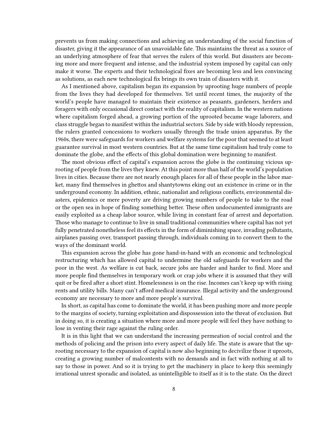prevents us from making connections and achieving an understanding of the social function of disaster, giving it the appearance of an unavoidable fate. This maintains the threat as a source of an underlying atmosphere of fear that serves the rulers of this world. But disasters are becoming more and more frequent and intense, and the industrial system imposed by capital can only make it worse. The experts and their technological fixes are becoming less and less convincing as solutions, as each new technological fix brings its own train of disasters with it.

As I mentioned above, capitalism began its expansion by uprooting huge numbers of people from the lives they had developed for themselves. Yet until recent times, the majority of the world's people have managed to maintain their existence as peasants, gardeners, herders and foragers with only occasional direct contact with the reality of capitalism. In the western nations where capitalism forged ahead, a growing portion of the uprooted became wage laborers, and class struggle began to manifest within the industrial sectors. Side by side with bloody repression, the rulers granted concessions to workers usually through the trade union apparatus. By the 1960s, there were safeguards for workers and welfare systems for the poor that seemed to at least guarantee survival in most western countries. But at the same time capitalism had truly come to dominate the globe, and the effects of this global domination were beginning to manifest.

The most obvious effect of capital's expansion across the globe is the continuing vicious uprooting of people from the lives they knew. At this point more than half of the world's population lives in cities. Because there are not nearly enough places for all of these people in the labor market, many find themselves in ghettos and shantytowns eking out an existence in crime or in the underground economy. In addition, ethnic, nationalist and religious conflicts, environmental disasters, epidemics or mere poverty are driving growing numbers of people to take to the road or the open sea in hope of finding something better. These often undocumented immigrants are easily exploited as a cheap labor source, while living in constant fear of arrest and deportation. Those who manage to continue to live in small traditional communities where capital has not yet fully penetrated nonetheless feel its effects in the form of diminishing space, invading pollutants, airplanes passing over, transport passing through, individuals coming in to convert them to the ways of the dominant world.

This expansion across the globe has gone hand-in-hand with an economic and technological restructuring which has allowed capital to undermine the old safeguards for workers and the poor in the west. As welfare is cut back, secure jobs are harder and harder to find. More and more people find themselves in temporary work or crap jobs where it is assumed that they will quit or be fired after a short stint. Homelessness is on the rise. Incomes can't keep up with rising rents and utility bills. Many can't afford medical insurance. Illegal activity and the underground economy are necessary to more and more people's survival.

In short, as capital has come to dominate the world, it has been pushing more and more people to the margins of society, turning exploitation and dispossession into the threat of exclusion. But in doing so, it is creating a situation where more and more people will feel they have nothing to lose in venting their rage against the ruling order.

It is in this light that we can understand the increasing permeation of social control and the methods of policing and the prison into every aspect of daily life. The state is aware that the uprooting necessary to the expansion of capital is now also beginning to decivilize those it uproots, creating a growing number of malcontents with no demands and in fact with nothing at all to say to those in power. And so it is trying to get the machinery in place to keep this seemingly irrational unrest sporadic and isolated, as unintelligible to itself as it is to the state. On the direct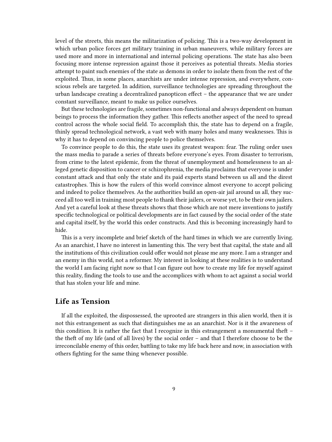level of the streets, this means the militarization of policing. This is a two-way development in which urban police forces get military training in urban maneuvers, while military forces are used more and more in international and internal policing operations. The state has also been focusing more intense repression against those it perceives as potential threats. Media stories attempt to paint such enemies of the state as demons in order to isolate them from the rest of the exploited. Thus, in some places, anarchists are under intense repression, and everywhere, conscious rebels are targeted. In addition, surveillance technologies are spreading throughout the urban landscape creating a decentralized panopticon effect – the appearance that we are under constant surveillance, meant to make us police ourselves.

But these technologies are fragile, sometimes non-functional and always dependent on human beings to process the information they gather. This reflects another aspect of the need to spread control across the whole social field. To accomplish this, the state has to depend on a fragile, thinly spread technological network, a vast web with many holes and many weaknesses. This is why it has to depend on convincing people to police themselves.

To convince people to do this, the state uses its greatest weapon: fear. The ruling order uses the mass media to parade a series of threats before everyone's eyes. From disaster to terrorism, from crime to the latest epidemic, from the threat of unemployment and homelessness to an alleged genetic disposition to cancer or schizophrenia, the media proclaims that everyone is under constant attack and that only the state and its paid experts stand between us all and the direst catastrophes. This is how the rulers of this world convince almost everyone to accept policing and indeed to police themselves. As the authorities build an open-air jail around us all, they succeed all too well in training most people to thank their jailers, or worse yet, to be their own jailers. And yet a careful look at these threats shows that those which are not mere inventions to justify specific technological or political developments are in fact caused by the social order of the state and capital itself, by the world this order constructs. And this is becoming increasingly hard to hide.

This is a very incomplete and brief sketch of the hard times in which we are currently living. As an anarchist, I have no interest in lamenting this. The very best that capital, the state and all the institutions of this civilization could offer would not please me any more. I am a stranger and an enemy in this world, not a reformer. My interest in looking at these realities is to understand the world I am facing right now so that I can figure out how to create my life for myself against this reality, finding the tools to use and the accomplices with whom to act against a social world that has stolen your life and mine.

### <span id="page-8-0"></span>**Life as Tension**

If all the exploited, the dispossessed, the uprooted are strangers in this alien world, then it is not this estrangement as such that distinguishes me as an anarchist. Nor is it the awareness of this condition. It is rather the fact that I recognize in this estrangement a monumental theft – the theft of my life (and of all lives) by the social order – and that I therefore choose to be the irreconcilable enemy of this order, battling to take my life back here and now, in association with others fighting for the same thing whenever possible.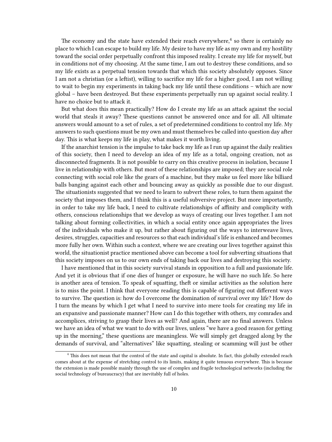The economy and the state have extended their reach everywhere, $4$  so there is certainly no place to which I can escape to build my life. My desire to have my life as my own and my hostility toward the social order perpetually confront this imposed reality. I create my life for myself, but in conditions not of my choosing. At the same time, I am out to destroy these conditions, and so my life exists as a perpetual tension towards that which this society absolutely opposes. Since I am not a christian (or a leftist), willing to sacrifice my life for a higher good, I am not willing to wait to begin my experiments in taking back my life until these conditions – which are now global – have been destroyed. But these experiments perpetually run up against social reality. I have no choice but to attack it.

But what does this mean practically? How do I create my life as an attack against the social world that steals it away? These questions cannot be answered once and for all. All ultimate answers would amount to a set of rules, a set of predetermined conditions to control my life. My answers to such questions must be my own and must themselves be called into question day after day. This is what keeps my life in play, what makes it worth living.

If the anarchist tension is the impulse to take back my life as I run up against the daily realities of this society, then I need to develop an idea of my life as a total, ongoing creation, not as disconnected fragments. It is not possible to carry on this creative process in isolation, because I live in relationship with others. But most of these relationships are imposed; they are social role connecting with social role like the gears of a machine, but they make us feel more like billiard balls banging against each other and bouncing away as quickly as possible due to our disgust. The situationists suggested that we need to learn to subvert these roles, to turn them against the society that imposes them, and I think this is a useful subversive project. But more importantly, in order to take my life back, I need to cultivate relationships of affinity and complicity with others, conscious relationships that we develop as ways of creating our lives together. I am not talking about forming collectivities, in which a social entity once again appropriates the lives of the individuals who make it up, but rather about figuring out the ways to interweave lives, desires, struggles, capacities and resources so that each individual's life is enhanced and becomes more fully her own. Within such a context, where we are creating our lives together against this world, the situationist practice mentioned above can become a tool for subverting situations that this society imposes on us to our own ends of taking back our lives and destroying this society.

I have mentioned that in this society survival stands in opposition to a full and passionate life. And yet it is obvious that if one dies of hunger or exposure, he will have no such life. So here is another area of tension. To speak of squatting, theft or similar activities as the solution here is to miss the point. I think that everyone reading this is capable of figuring out different ways to survive. The question is: how do I overcome the domination of survival over my life? How do I turn the means by which I get what I need to survive into mere tools for creating my life in an expansive and passionate manner? How can I do this together with others, my comrades and accomplices, striving to grasp their lives as well? And again, there are no final answers. Unless we have an idea of what we want to do with our lives, unless "we have a good reason for getting up in the morning," these questions are meaningless. We will simply get dragged along by the demands of survival, and "alternatives" like squatting, stealing or scamming will just be other

<sup>&</sup>lt;sup>4</sup> This does not mean that the control of the state and capital is absolute. In fact, this globally extended reach comes about at the expense of stretching control to its limits, making it quite tenuous everywhere. This is because the extension is made possible mainly through the use of complex and fragile technological networks (including the social technology of bureaucracy) that are inevitably full of holes.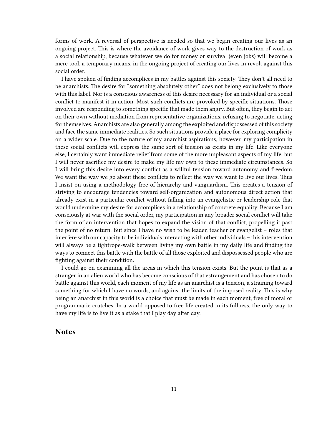forms of work. A reversal of perspective is needed so that we begin creating our lives as an ongoing project. This is where the avoidance of work gives way to the destruction of work as a social relationship, because whatever we do for money or survival (even jobs) will become a mere tool, a temporary means, in the ongoing project of creating our lives in revolt against this social order.

I have spoken of finding accomplices in my battles against this society. They don't all need to be anarchists. The desire for "something absolutely other" does not belong exclusively to those with this label. Nor is a conscious awareness of this desire necessary for an individual or a social conflict to manifest it in action. Most such conflicts are provoked by specific situations. Those involved are responding to something specific that made them angry. But often, they begin to act on their own without mediation from representative organizations, refusing to negotiate, acting for themselves. Anarchists are also generally among the exploited and dispossessed of this society and face the same immediate realities. So such situations provide a place for exploring complicity on a wider scale. Due to the nature of my anarchist aspirations, however, my participation in these social conflicts will express the same sort of tension as exists in my life. Like everyone else, I certainly want immediate relief from some of the more unpleasant aspects of my life, but I will never sacrifice my desire to make my life my own to these immediate circumstances. So I will bring this desire into every conflict as a willful tension toward autonomy and freedom. We want the way we go about these conflicts to reflect the way we want to live our lives. Thus I insist on using a methodology free of hierarchy and vanguardism. This creates a tension of striving to encourage tendencies toward self-organization and autonomous direct action that already exist in a particular conflict without falling into an evangelistic or leadership role that would undermine my desire for accomplices in a relationship of concrete equality. Because I am consciously at war with the social order, my participation in any broader social conflict will take the form of an intervention that hopes to expand the vision of that conflict, propelling it past the point of no return. But since I have no wish to be leader, teacher or evangelist – roles that interfere with our capacity to be individuals interacting with other individuals – this intervention will always be a tightrope-walk between living my own battle in my daily life and finding the ways to connect this battle with the battle of all those exploited and dispossessed people who are fighting against their condition.

I could go on examining all the areas in which this tension exists. But the point is that as a stranger in an alien world who has become conscious of that estrangement and has chosen to do battle against this world, each moment of my life as an anarchist is a tension, a straining toward something for which I have no words, and against the limits of the imposed reality. This is why being an anarchist in this world is a choice that must be made in each moment, free of moral or programmatic crutches. In a world opposed to free life created in its fullness, the only way to have my life is to live it as a stake that I play day after day.

### <span id="page-10-0"></span>**Notes**